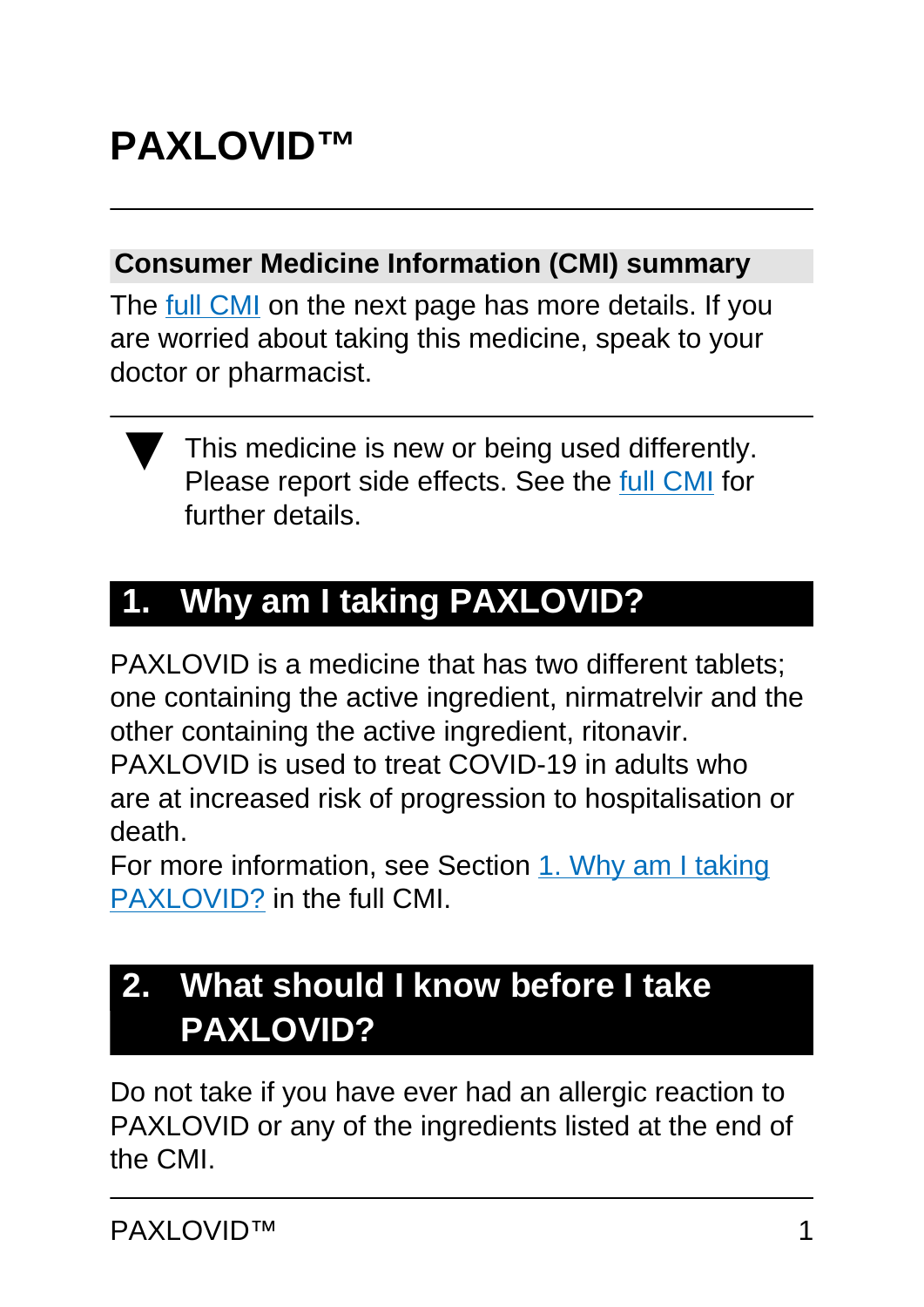# **PAXLOVID™**

#### **Consumer Medicine Information (CMI) summary**

The [full CMI](#page-4-0) on the next page has more details. If you are worried about taking this medicine, speak to your doctor or pharmacist.



# **1. Why am I taking PAXLOVID?**

PAXLOVID is a medicine that has two different tablets; one containing the active ingredient, nirmatrelvir and the other containing the active ingredient, ritonavir. PAXLOVID is used to treat COVID-19 in adults who are at increased risk of progression to hospitalisation or death.

For more information, see Section [1. Why am I taking](#page-5-0) [PAXLOVID?](#page-5-0) in the full CMI.

## **2. What should I know before I take PAXLOVID?**

Do not take if you have ever had an allergic reaction to PAXLOVID or any of the ingredients listed at the end of the CMI.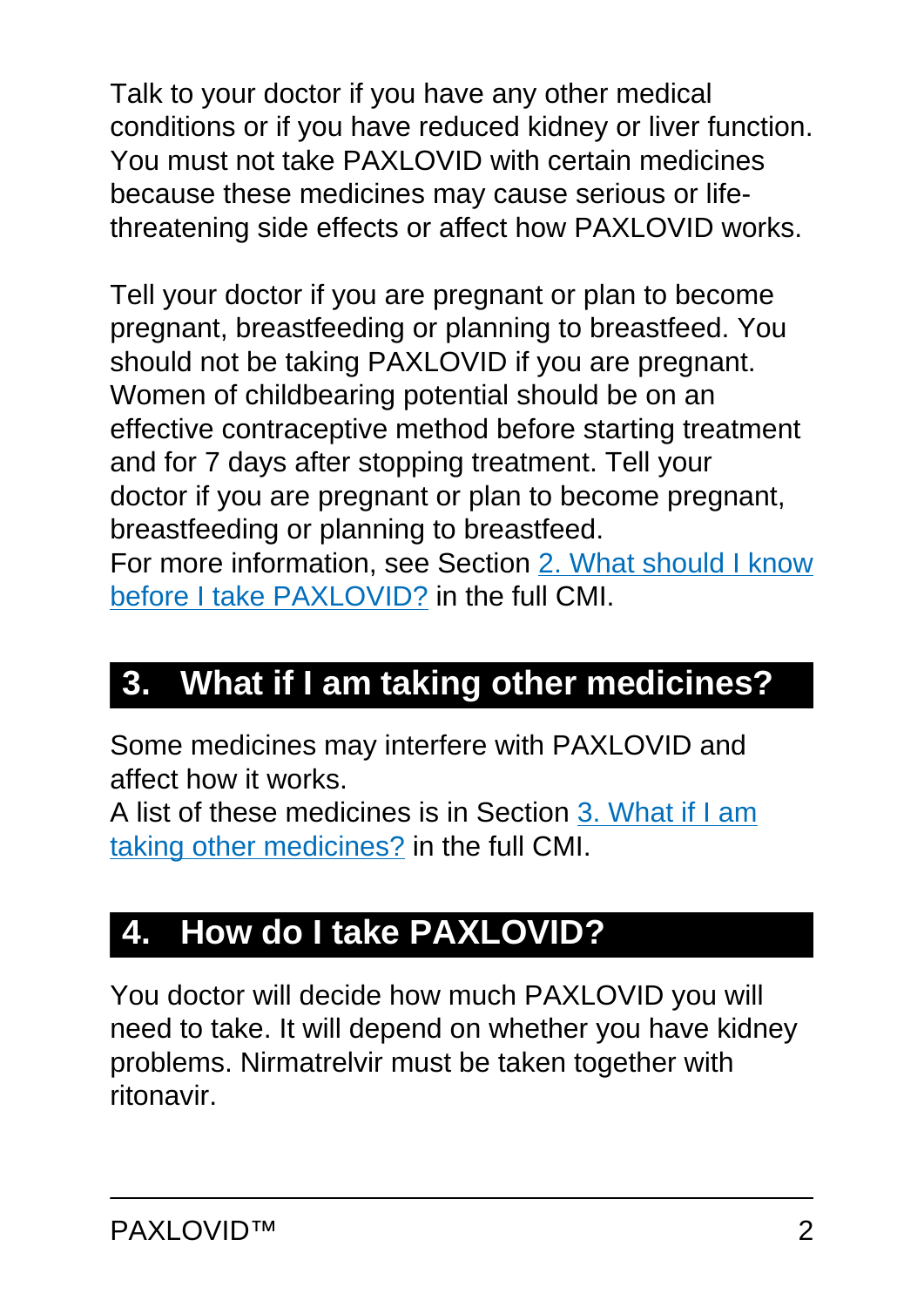Talk to your doctor if you have any other medical conditions or if you have reduced kidney or liver function. You must not take PAXLOVID with certain medicines because these medicines may cause serious or lifethreatening side effects or affect how PAXLOVID works.

Tell your doctor if you are pregnant or plan to become pregnant, breastfeeding or planning to breastfeed. You should not be taking PAXLOVID if you are pregnant. Women of childbearing potential should be on an effective contraceptive method before starting treatment and for 7 days after stopping treatment. Tell your doctor if you are pregnant or plan to become pregnant, breastfeeding or planning to breastfeed. For more information, see Section [2. What should I know](#page-5-1) [before I take PAXLOVID?](#page-5-1) in the full CMI.

# **3. What if I am taking other medicines?**

Some medicines may interfere with PAXLOVID and affect how it works.

A list of these medicines is in Section [3. What if I am](#page-7-0) [taking other medicines?](#page-7-0) in the full CMI.

## **4. How do I take PAXLOVID?**

You doctor will decide how much PAXLOVID you will need to take. It will depend on whether you have kidney problems. Nirmatrelvir must be taken together with ritonavir.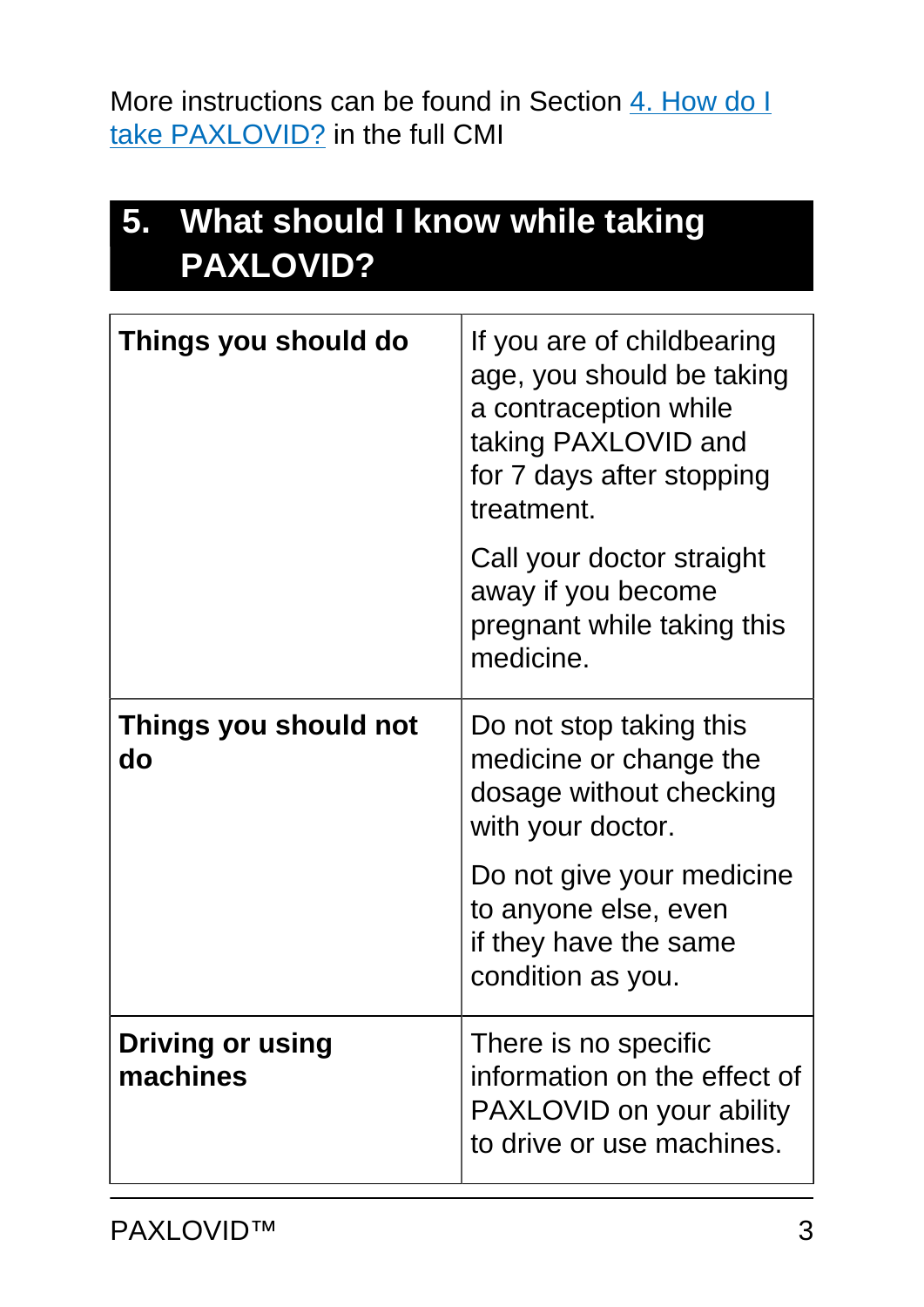More instructions can be found in Section [4. How do I](#page-9-0) [take PAXLOVID?](#page-9-0) in the full CMI

| 5. What should I know while taking<br><b>PAXLOVID?</b> |                                                                                                                                                    |
|--------------------------------------------------------|----------------------------------------------------------------------------------------------------------------------------------------------------|
| Things you should do                                   | If you are of childbearing<br>age, you should be taking<br>a contraception while<br>taking PAXLOVID and<br>for 7 days after stopping<br>treatment. |
|                                                        | Call your doctor straight<br>away if you become<br>pregnant while taking this<br>medicine.                                                         |
| Things you should not<br>do                            | Do not stop taking this<br>medicine or change the<br>dosage without checking<br>with your doctor.                                                  |
|                                                        | Do not give your medicine<br>to anyone else, even<br>if they have the same<br>condition as you.                                                    |
| <b>Driving or using</b><br>machines                    | There is no specific<br>information on the effect of<br>PAXLOVID on your ability<br>to drive or use machines.                                      |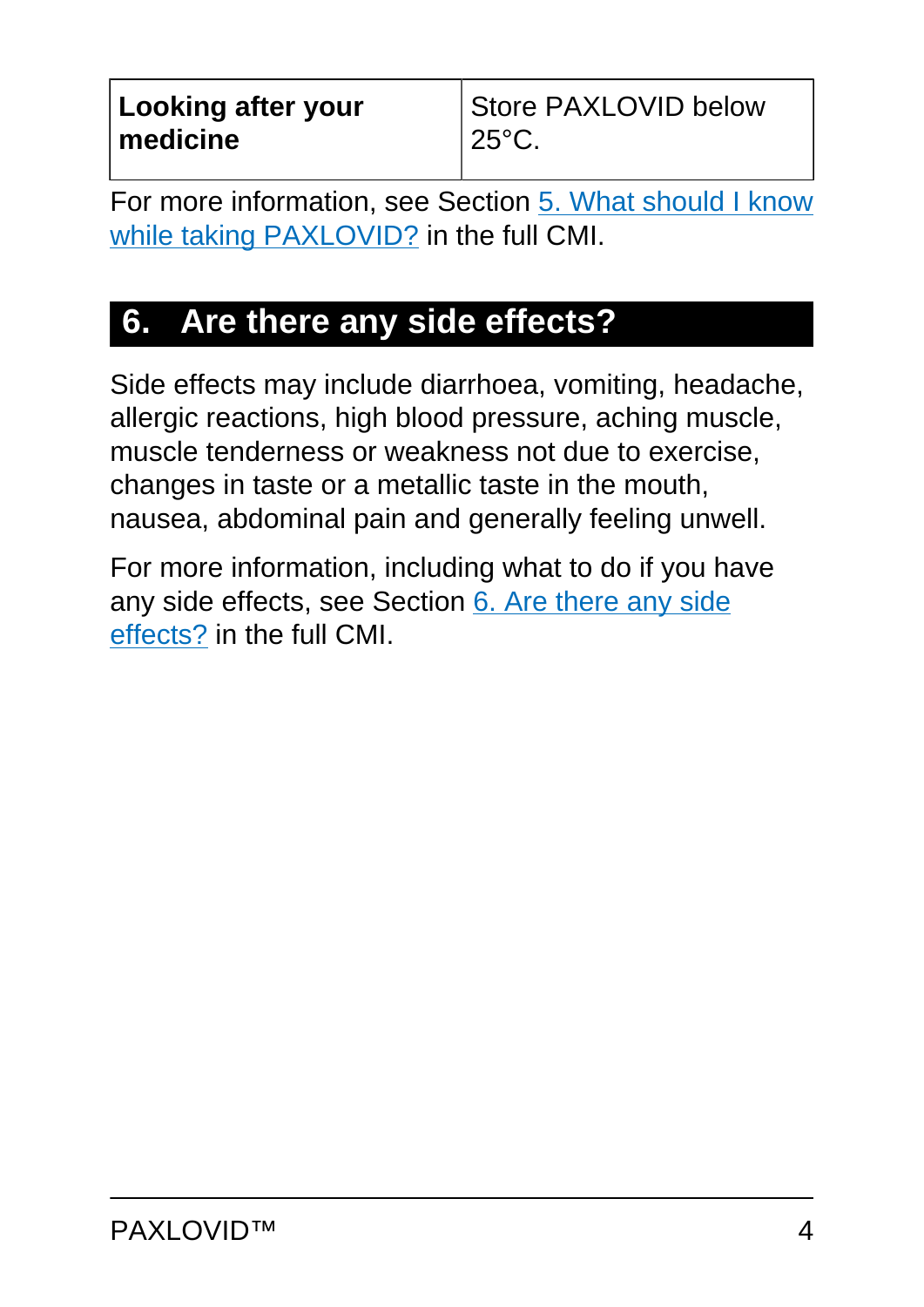For more information, see Section [5. What should I know](#page-11-0) [while taking PAXLOVID?](#page-11-0) in the full CMI.

# **6. Are there any side effects?**

Side effects may include diarrhoea, vomiting, headache, allergic reactions, high blood pressure, aching muscle, muscle tenderness or weakness not due to exercise, changes in taste or a metallic taste in the mouth, nausea, abdominal pain and generally feeling unwell.

For more information, including what to do if you have any side effects, see Section [6. Are there any side](#page-12-0) [effects?](#page-12-0) in the full CMI.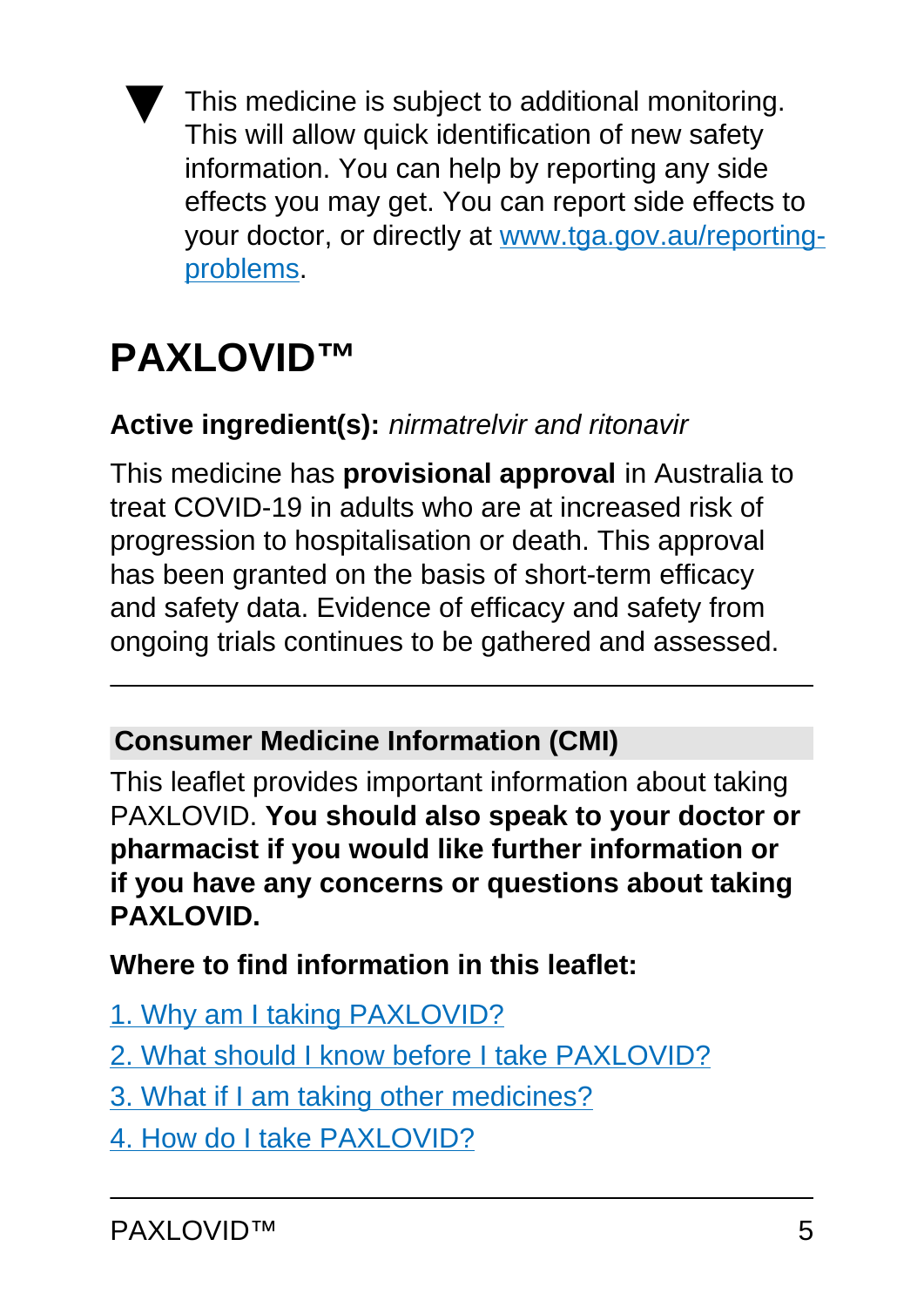This medicine is subject to additional monitoring. This will allow quick identification of new safety information. You can help by reporting any side effects you may get. You can report side effects to your doctor, or directly at [www.tga.gov.au/reporting](http://www.tga.gov.au/reporting-problems)[problems](http://www.tga.gov.au/reporting-problems).

# <span id="page-4-0"></span>**PAXLOVID™**

### **Active ingredient(s):** nirmatrelvir and ritonavir

This medicine has **provisional approval** in Australia to treat COVID-19 in adults who are at increased risk of progression to hospitalisation or death. This approval has been granted on the basis of short-term efficacy and safety data. Evidence of efficacy and safety from ongoing trials continues to be gathered and assessed.

#### **Consumer Medicine Information (CMI)**

This leaflet provides important information about taking PAXLOVID. **You should also speak to your doctor or pharmacist if you would like further information or if you have any concerns or questions about taking PAXLOVID.** 

**Where to find information in this leaflet:**

- [1. Why am I taking PAXLOVID?](#page-5-0)
- [2. What should I know before I take PAXLOVID?](#page-5-1)
- [3. What if I am taking other medicines?](#page-7-1)
- [4. How do I take PAXLOVID?](#page-9-0)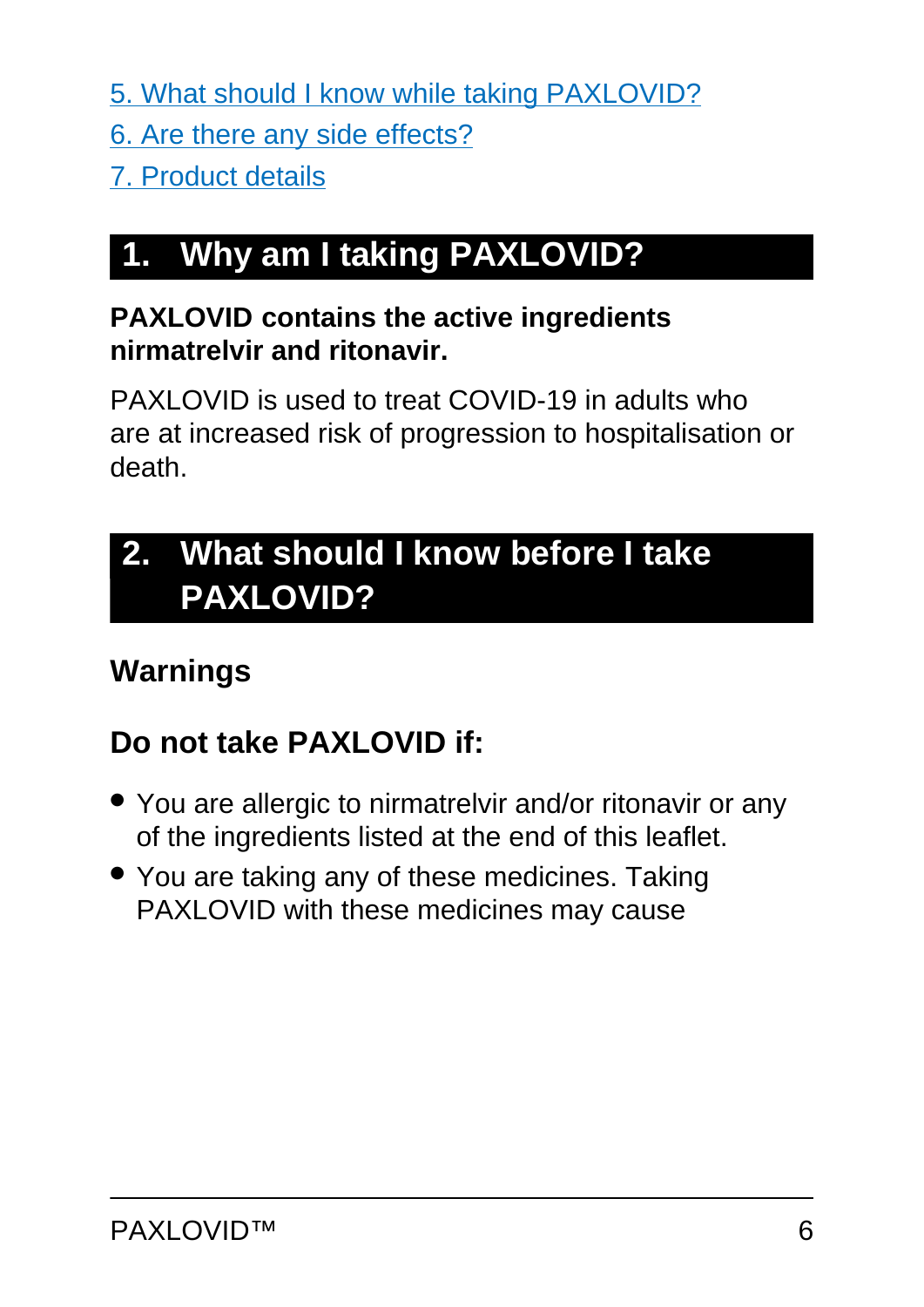[5. What should I know while taking PAXLOVID?](#page-11-0)

- [6. Are there any side effects?](#page-12-0)
- [7. Product details](#page-14-0)

# <span id="page-5-0"></span>**1. Why am I taking PAXLOVID?**

#### **PAXLOVID contains the active ingredients nirmatrelvir and ritonavir.**

PAXLOVID is used to treat COVID-19 in adults who are at increased risk of progression to hospitalisation or death.

# <span id="page-5-1"></span>**2. What should I know before I take PAXLOVID?**

## **Warnings**

## **Do not take PAXLOVID if:**

- You are allergic to nirmatrelvir and/or ritonavir or any of the ingredients listed at the end of this leaflet.
- You are taking any of these medicines. Taking PAXLOVID with these medicines may cause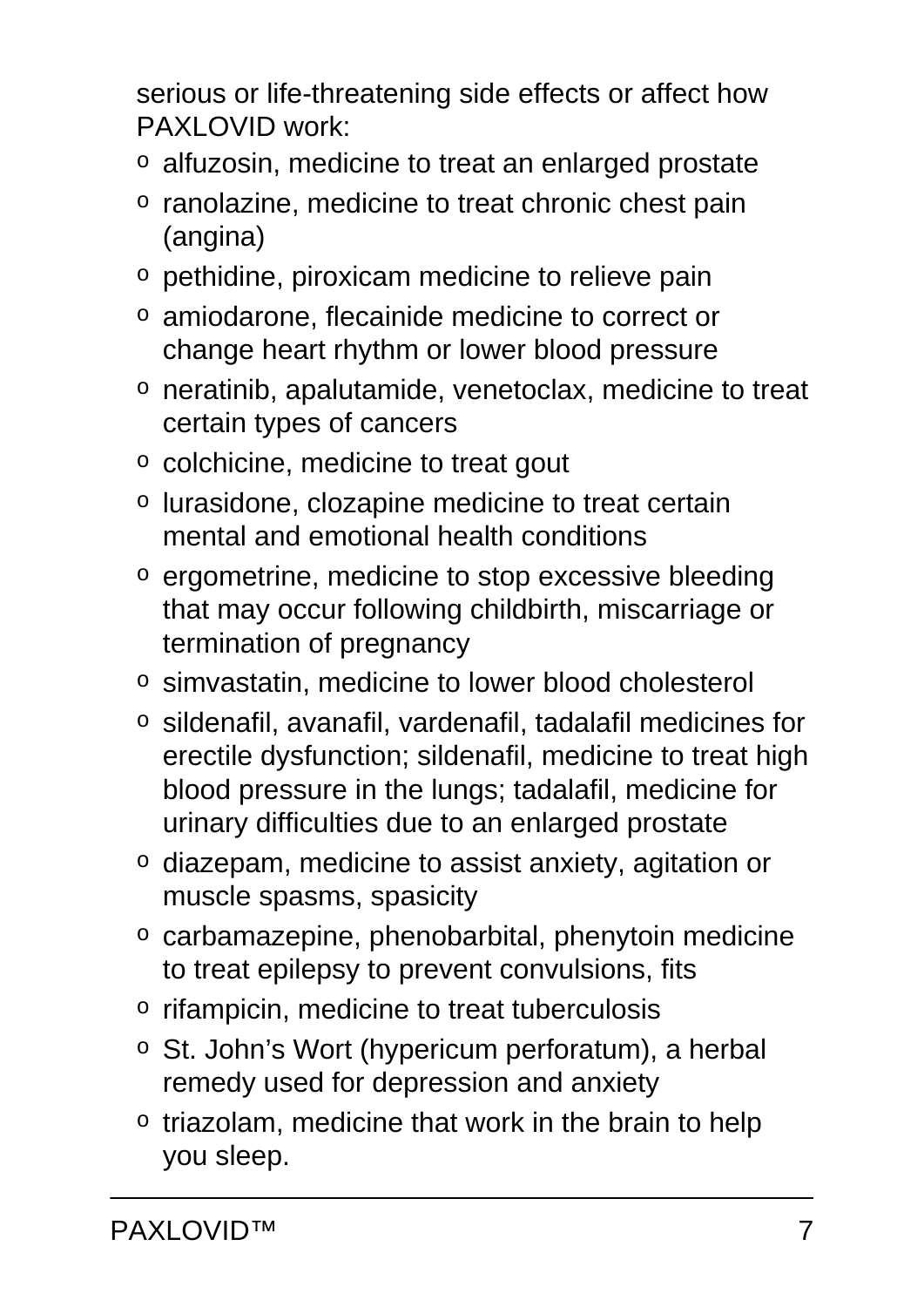serious or life-threatening side effects or affect how PAXLOVID work:

- o alfuzosin, medicine to treat an enlarged prostate
- o ranolazine, medicine to treat chronic chest pain (angina)
- o pethidine, piroxicam medicine to relieve pain
- o amiodarone, flecainide medicine to correct or change heart rhythm or lower blood pressure
- o neratinib, apalutamide, venetoclax, medicine to treat certain types of cancers
- o colchicine, medicine to treat gout
- o lurasidone, clozapine medicine to treat certain mental and emotional health conditions
- o ergometrine, medicine to stop excessive bleeding that may occur following childbirth, miscarriage or termination of pregnancy
- o simvastatin, medicine to lower blood cholesterol
- o sildenafil, avanafil, vardenafil, tadalafil medicines for erectile dysfunction; sildenafil, medicine to treat high blood pressure in the lungs; tadalafil, medicine for urinary difficulties due to an enlarged prostate
- o diazepam, medicine to assist anxiety, agitation or muscle spasms, spasicity
- o carbamazepine, phenobarbital, phenytoin medicine to treat epilepsy to prevent convulsions, fits
- $\circ$  rifampicin, medicine to treat tuberculosis
- o St. John's Wort (hypericum perforatum), a herbal remedy used for depression and anxiety
- o triazolam, medicine that work in the brain to help you sleep.

PAXLOVID™ 7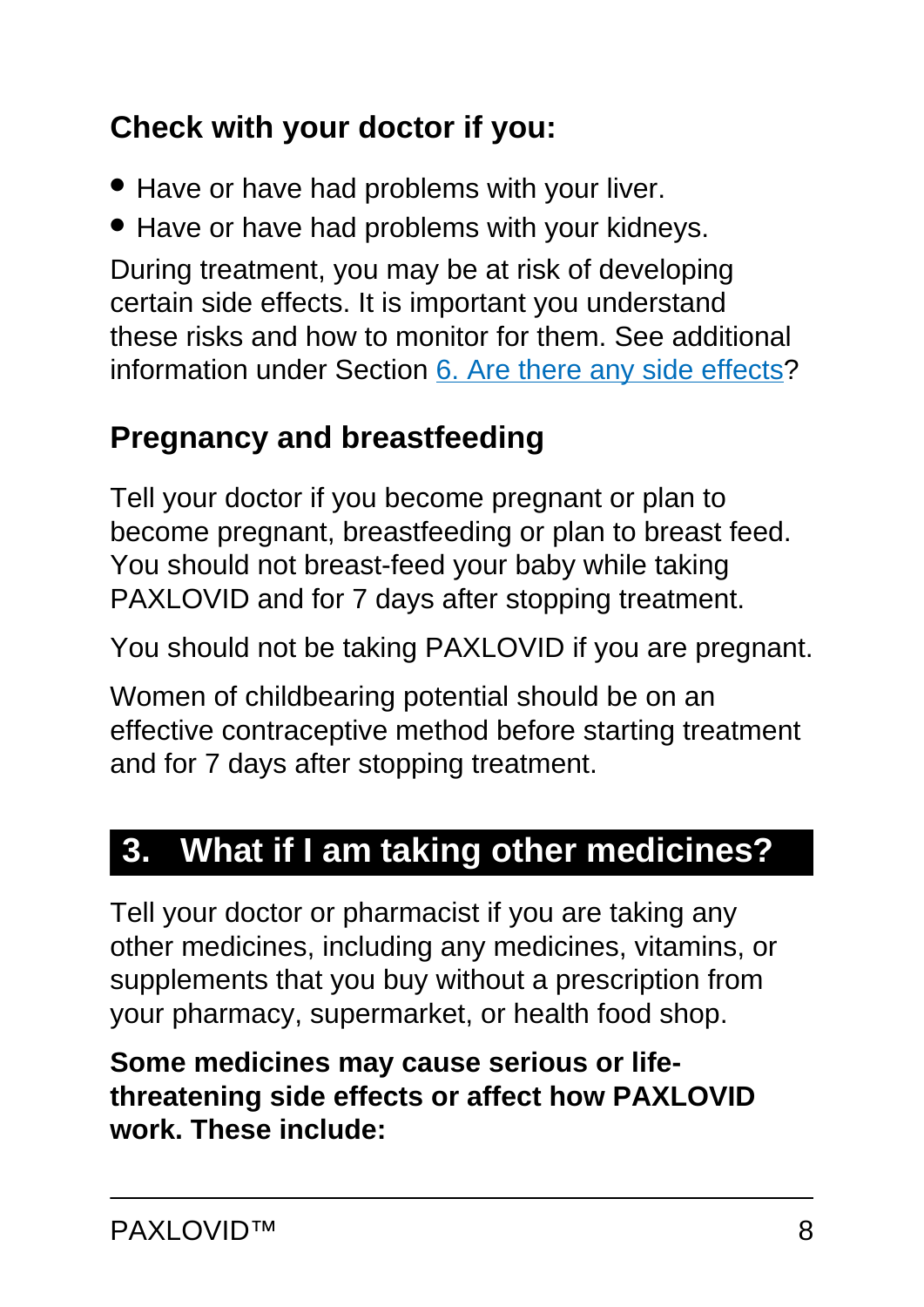## **Check with your doctor if you:**

- Have or have had problems with your liver.
- Have or have had problems with your kidneys.

During treatment, you may be at risk of developing certain side effects. It is important you understand these risks and how to monitor for them. See additional information under Section [6. Are there any side effects](#page-12-0)?

## <span id="page-7-0"></span>**Pregnancy and breastfeeding**

Tell your doctor if you become pregnant or plan to become pregnant, breastfeeding or plan to breast feed. You should not breast-feed your baby while taking PAXLOVID and for 7 days after stopping treatment.

You should not be taking PAXLOVID if you are pregnant.

Women of childbearing potential should be on an effective contraceptive method before starting treatment and for 7 days after stopping treatment.

# <span id="page-7-1"></span>**3. What if I am taking other medicines?**

Tell your doctor or pharmacist if you are taking any other medicines, including any medicines, vitamins, or supplements that you buy without a prescription from your pharmacy, supermarket, or health food shop.

**Some medicines may cause serious or lifethreatening side effects or affect how PAXLOVID work. These include:**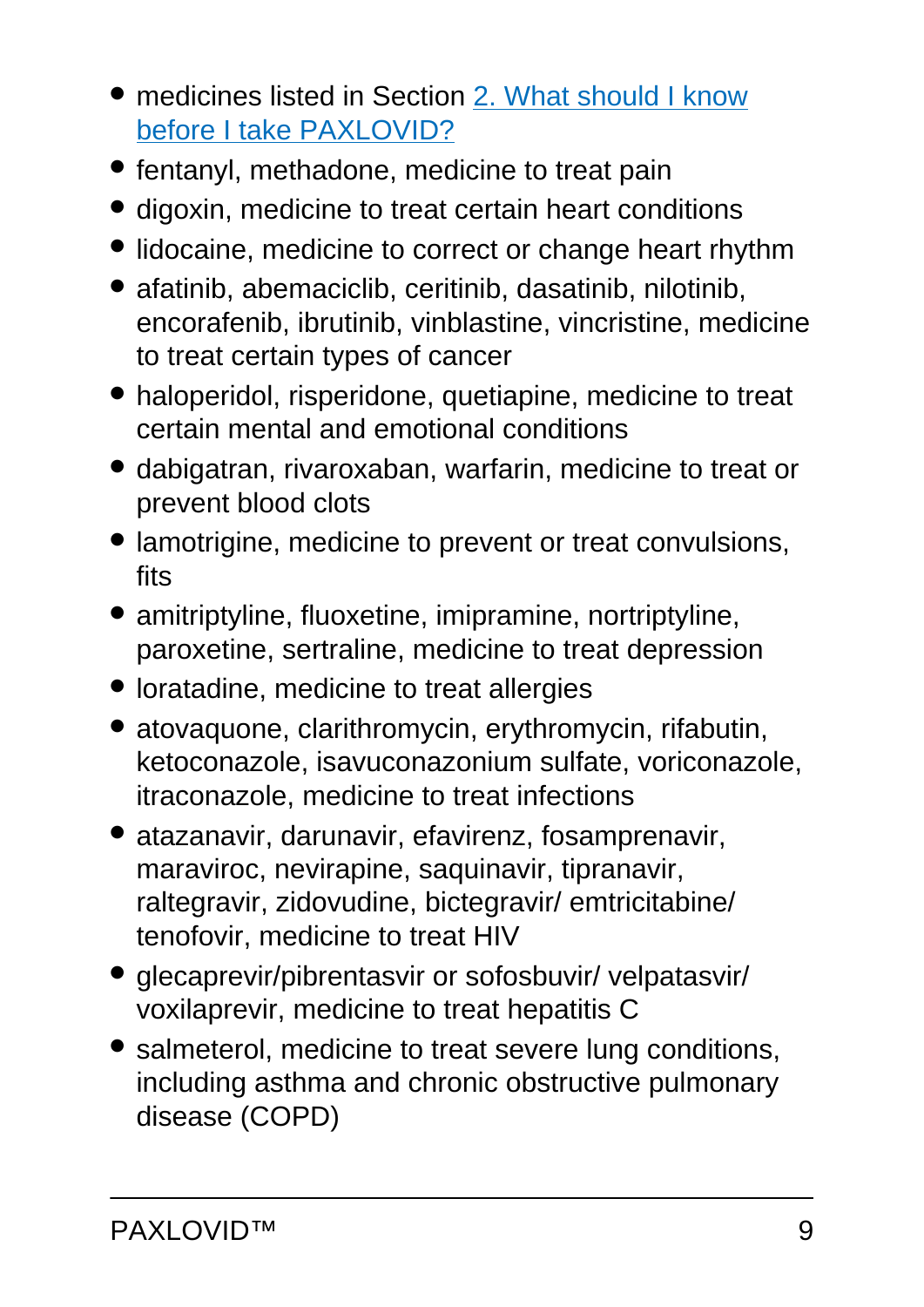- medicines listed in Section [2. What should I know](#page-9-0) [before I take PAXLOVID?](#page-9-0)
- fentanyl, methadone, medicine to treat pain
- digoxin, medicine to treat certain heart conditions
- lidocaine, medicine to correct or change heart rhythm
- afatinib, abemaciclib, ceritinib, dasatinib, nilotinib, encorafenib, ibrutinib, vinblastine, vincristine, medicine to treat certain types of cancer
- haloperidol, risperidone, quetiapine, medicine to treat certain mental and emotional conditions
- dabigatran, rivaroxaban, warfarin, medicine to treat or prevent blood clots
- lamotrigine, medicine to prevent or treat convulsions, fits
- amitriptyline, fluoxetine, imipramine, nortriptyline, paroxetine, sertraline, medicine to treat depression
- loratadine, medicine to treat allergies
- atovaquone, clarithromycin, erythromycin, rifabutin, ketoconazole, isavuconazonium sulfate, voriconazole, itraconazole, medicine to treat infections
- atazanavir, darunavir, efavirenz, fosamprenavir, maraviroc, nevirapine, saquinavir, tipranavir, raltegravir, zidovudine, bictegravir/ emtricitabine/ tenofovir, medicine to treat HIV
- glecaprevir/pibrentasvir or sofosbuvir/ velpatasvir/ voxilaprevir, medicine to treat hepatitis C
- salmeterol, medicine to treat severe lung conditions, including asthma and chronic obstructive pulmonary disease (COPD)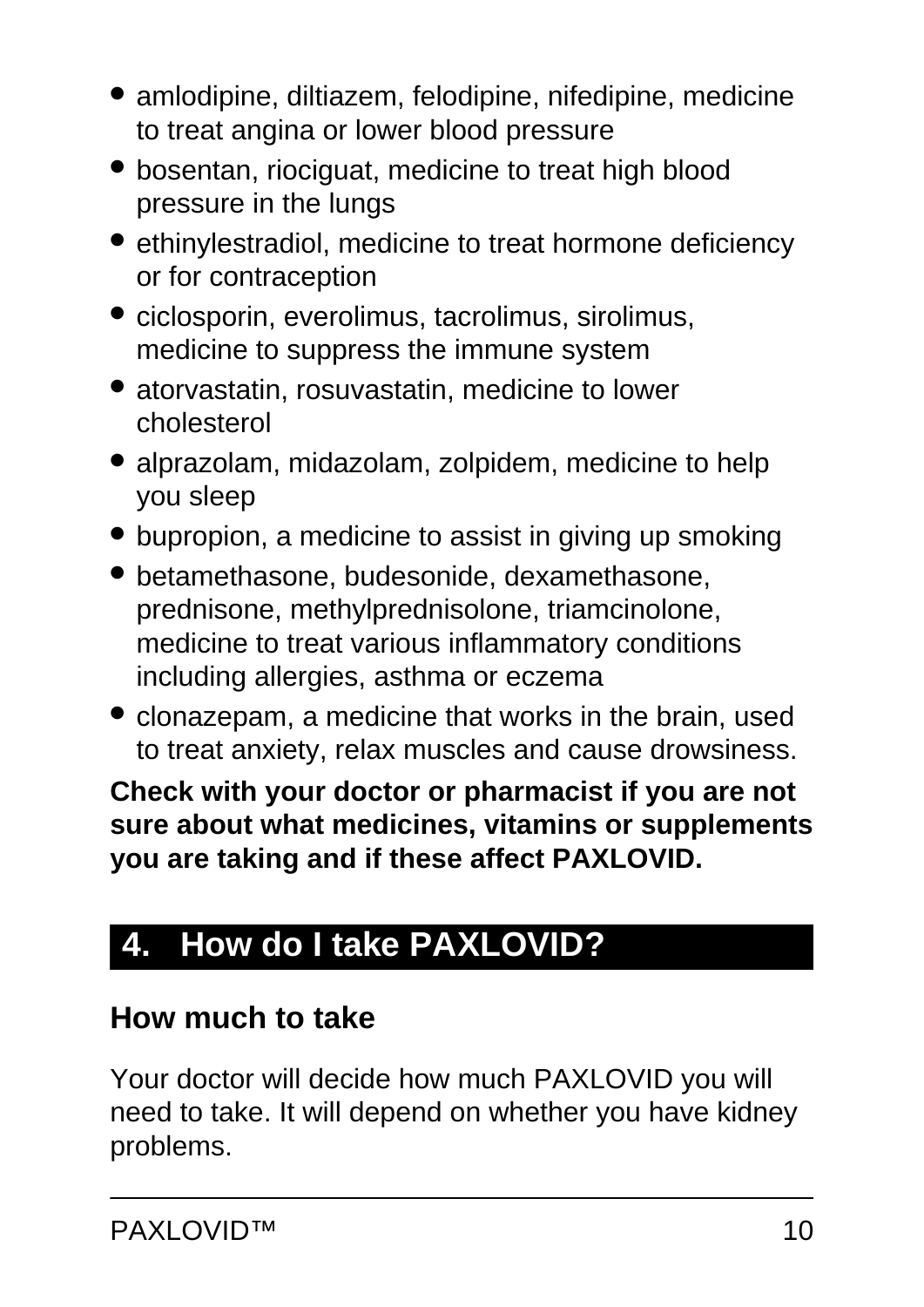- amlodipine, diltiazem, felodipine, nifedipine, medicine to treat angina or lower blood pressure
- bosentan, riociguat, medicine to treat high blood pressure in the lungs
- ethinylestradiol, medicine to treat hormone deficiency or for contraception
- ciclosporin, everolimus, tacrolimus, sirolimus, medicine to suppress the immune system
- atorvastatin, rosuvastatin, medicine to lower cholesterol
- alprazolam, midazolam, zolpidem, medicine to help you sleep
- bupropion, a medicine to assist in giving up smoking
- betamethasone, budesonide, dexamethasone, prednisone, methylprednisolone, triamcinolone, medicine to treat various inflammatory conditions including allergies, asthma or eczema
- clonazepam, a medicine that works in the brain, used to treat anxiety, relax muscles and cause drowsiness.

**Check with your doctor or pharmacist if you are not sure about what medicines, vitamins or supplements you are taking and if these affect PAXLOVID.**

# <span id="page-9-0"></span>**4. How do I take PAXLOVID?**

### **How much to take**

Your doctor will decide how much PAXLOVID you will need to take. It will depend on whether you have kidney problems.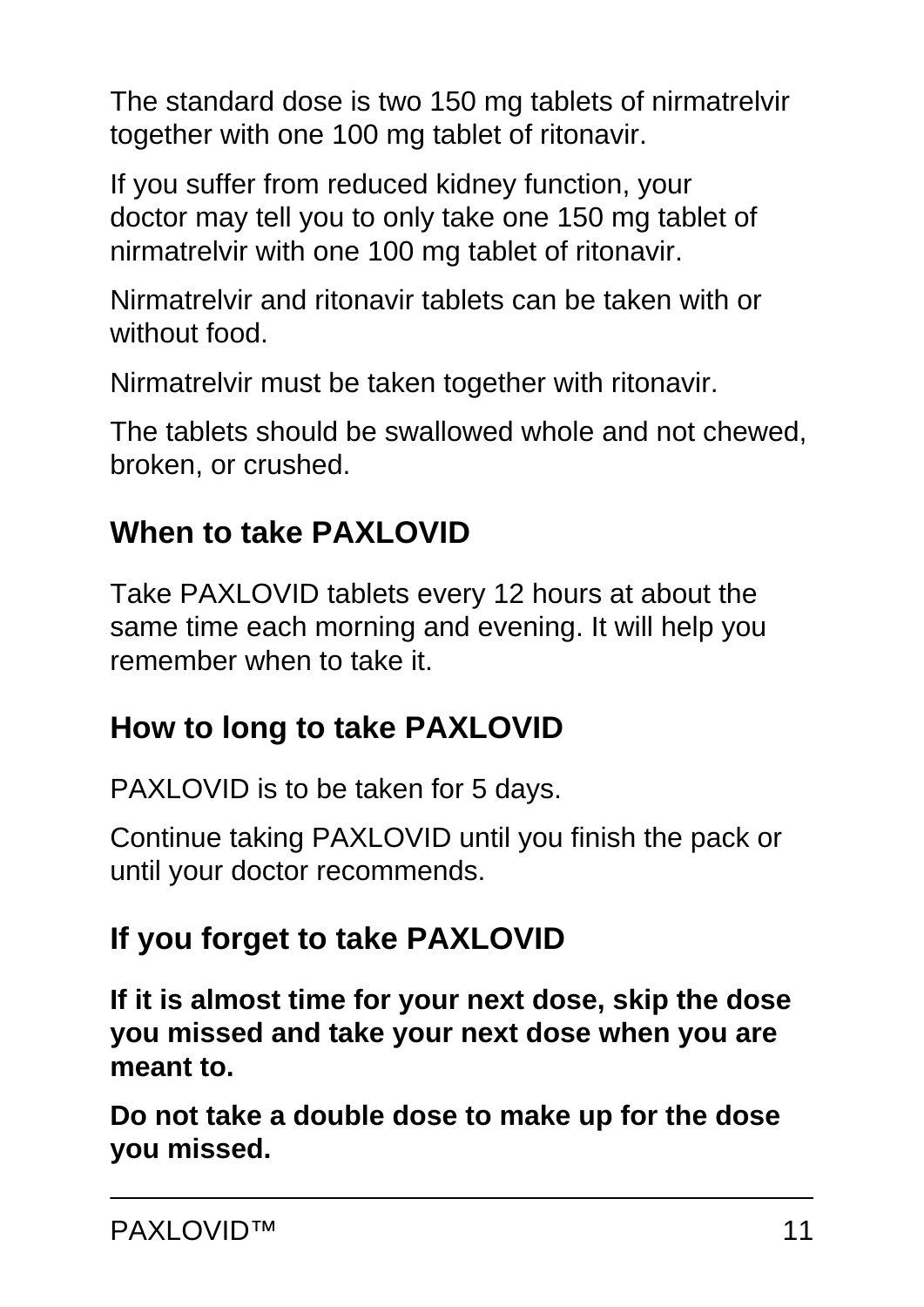The standard dose is two 150 mg tablets of nirmatrelvir together with one 100 mg tablet of ritonavir.

If you suffer from reduced kidney function, your doctor may tell you to only take one 150 mg tablet of nirmatrelvir with one 100 mg tablet of ritonavir.

Nirmatrelvir and ritonavir tablets can be taken with or without food.

Nirmatrelvir must be taken together with ritonavir.

The tablets should be swallowed whole and not chewed, broken, or crushed.

## **When to take PAXLOVID**

Take PAXLOVID tablets every 12 hours at about the same time each morning and evening. It will help you remember when to take it.

## **How to long to take PAXLOVID**

PAXLOVID is to be taken for 5 days.

Continue taking PAXLOVID until you finish the pack or until your doctor recommends.

## **If you forget to take PAXLOVID**

**If it is almost time for your next dose, skip the dose you missed and take your next dose when you are meant to.**

**Do not take a double dose to make up for the dose you missed.**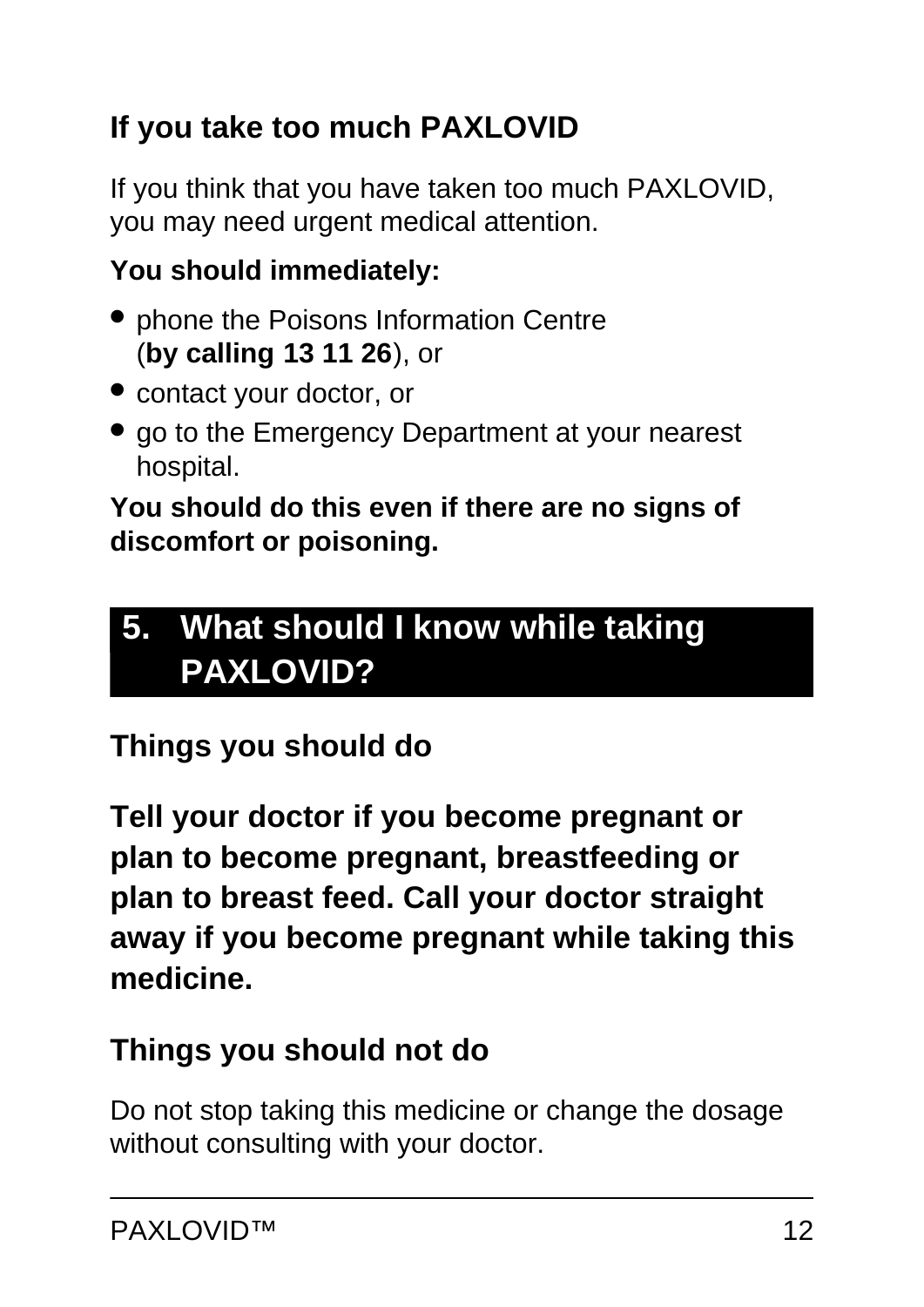## **If you take too much PAXLOVID**

If you think that you have taken too much PAXLOVID, you may need urgent medical attention.

### **You should immediately:**

- phone the Poisons Information Centre (**by calling 13 11 26**), or
- contact your doctor, or
- go to the Emergency Department at your nearest hospital.

#### **You should do this even if there are no signs of discomfort or poisoning.**

# <span id="page-11-0"></span>**5. What should I know while taking PAXLOVID?**

## **Things you should do**

**Tell your doctor if you become pregnant or plan to become pregnant, breastfeeding or plan to breast feed. Call your doctor straight away if you become pregnant while taking this medicine.**

### **Things you should not do**

Do not stop taking this medicine or change the dosage without consulting with your doctor.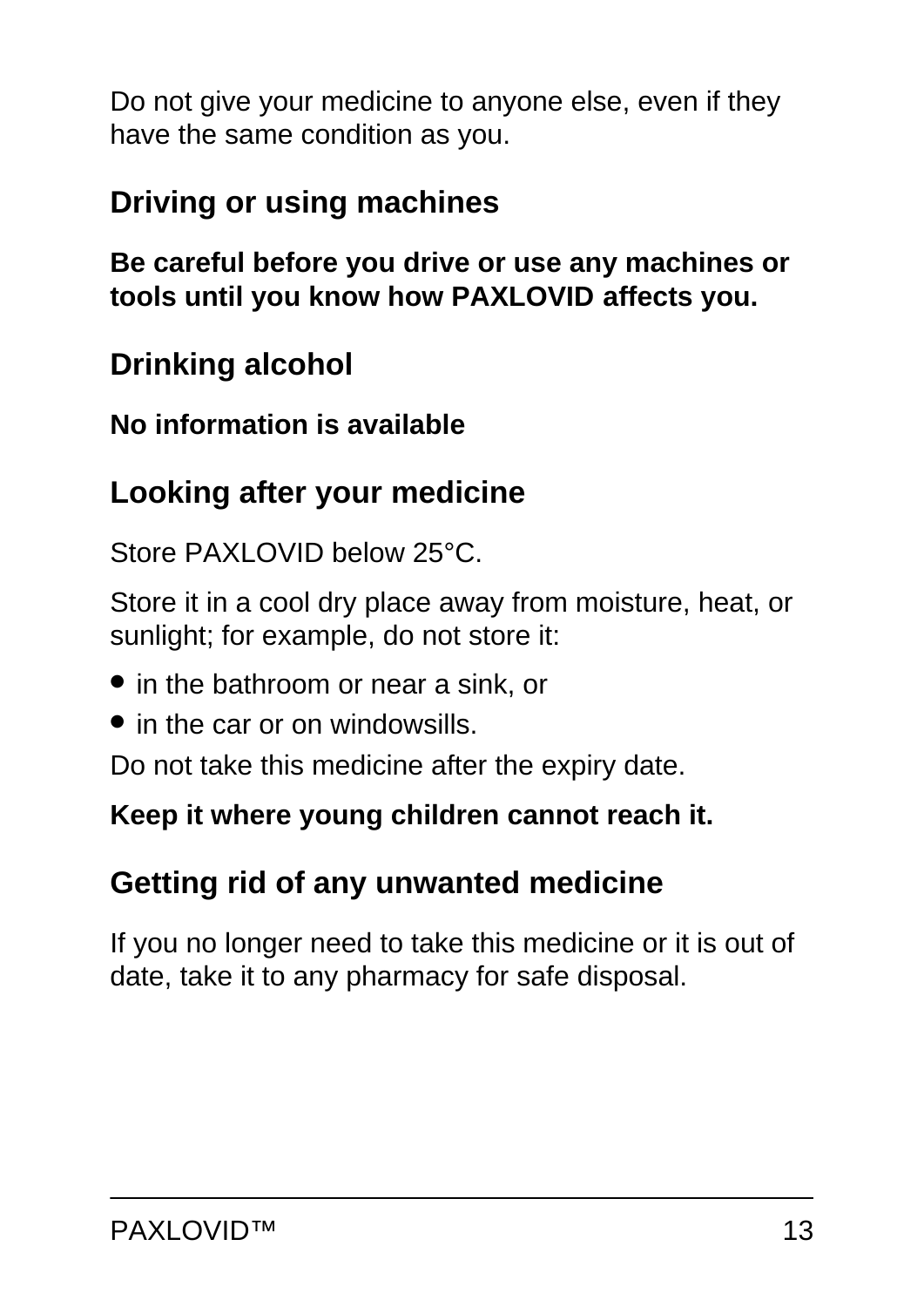Do not give your medicine to anyone else, even if they have the same condition as you.

### **Driving or using machines**

**Be careful before you drive or use any machines or tools until you know how PAXLOVID affects you.**

### **Drinking alcohol**

**No information is available**

### **Looking after your medicine**

Store PAXLOVID below 25°C.

Store it in a cool dry place away from moisture, heat, or sunlight; for example, do not store it:

- in the bathroom or near a sink, or
- in the car or on windowsills.

Do not take this medicine after the expiry date.

#### **Keep it where young children cannot reach it.**

### **Getting rid of any unwanted medicine**

<span id="page-12-0"></span>If you no longer need to take this medicine or it is out of date, take it to any pharmacy for safe disposal.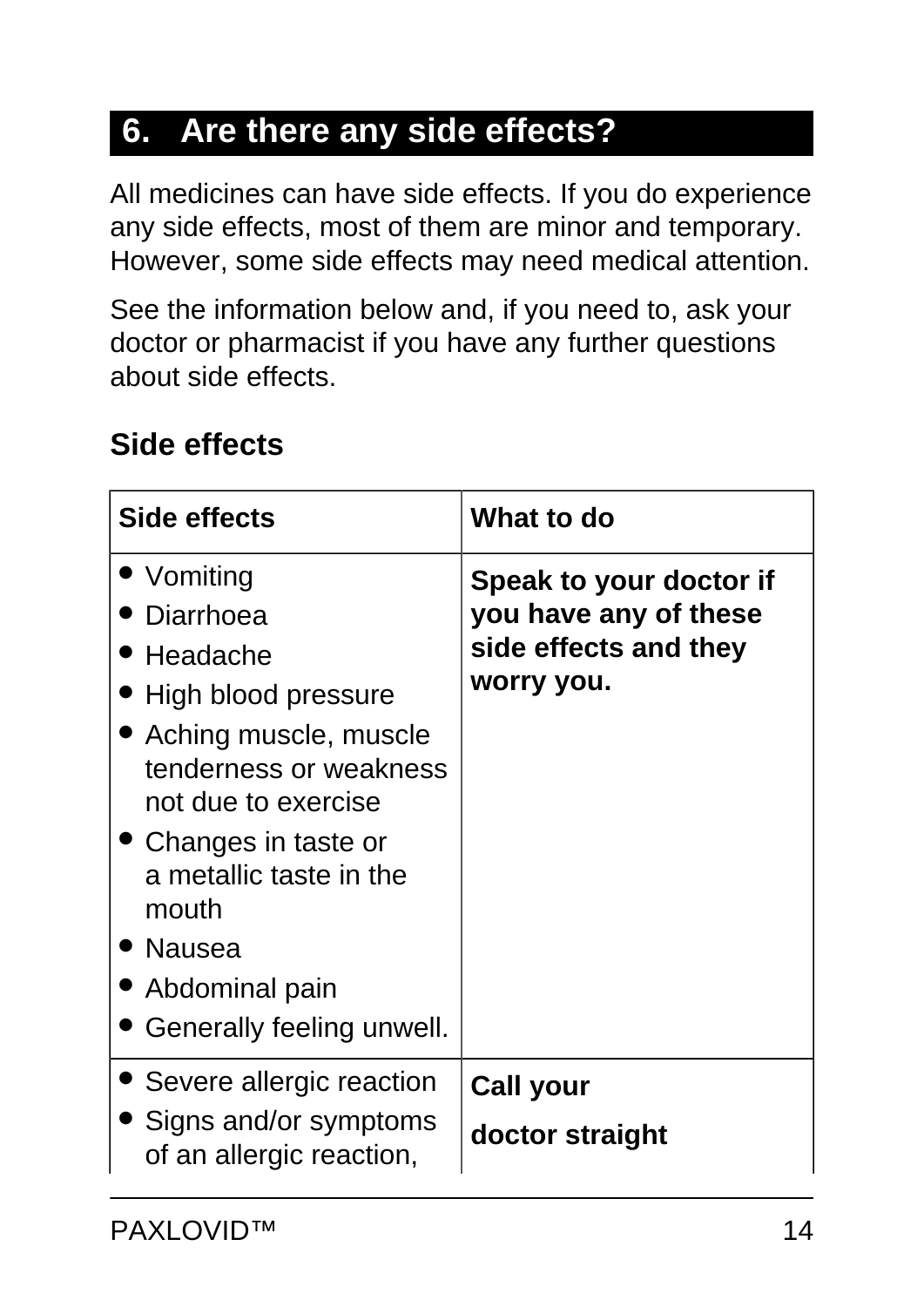# **6. Are there any side effects?**

All medicines can have side effects. If you do experience any side effects, most of them are minor and temporary. However, some side effects may need medical attention.

See the information below and, if you need to, ask your doctor or pharmacist if you have any further questions about side effects.

### **Side effects**

| <b>Side effects</b>                                                                                                                                                                                                                                            | What to do                                                                              |
|----------------------------------------------------------------------------------------------------------------------------------------------------------------------------------------------------------------------------------------------------------------|-----------------------------------------------------------------------------------------|
| • Vomiting<br>Diarrhoea<br>Headache<br>High blood pressure<br>• Aching muscle, muscle<br>tenderness or weakness<br>not due to exercise<br>• Changes in taste or<br>a metallic taste in the<br>mouth<br>• Nausea<br>Abdominal pain<br>Generally feeling unwell. | Speak to your doctor if<br>you have any of these<br>side effects and they<br>worry you. |
| Severe allergic reaction<br>Signs and/or symptoms<br>of an allergic reaction,                                                                                                                                                                                  | <b>Call your</b><br>doctor straight                                                     |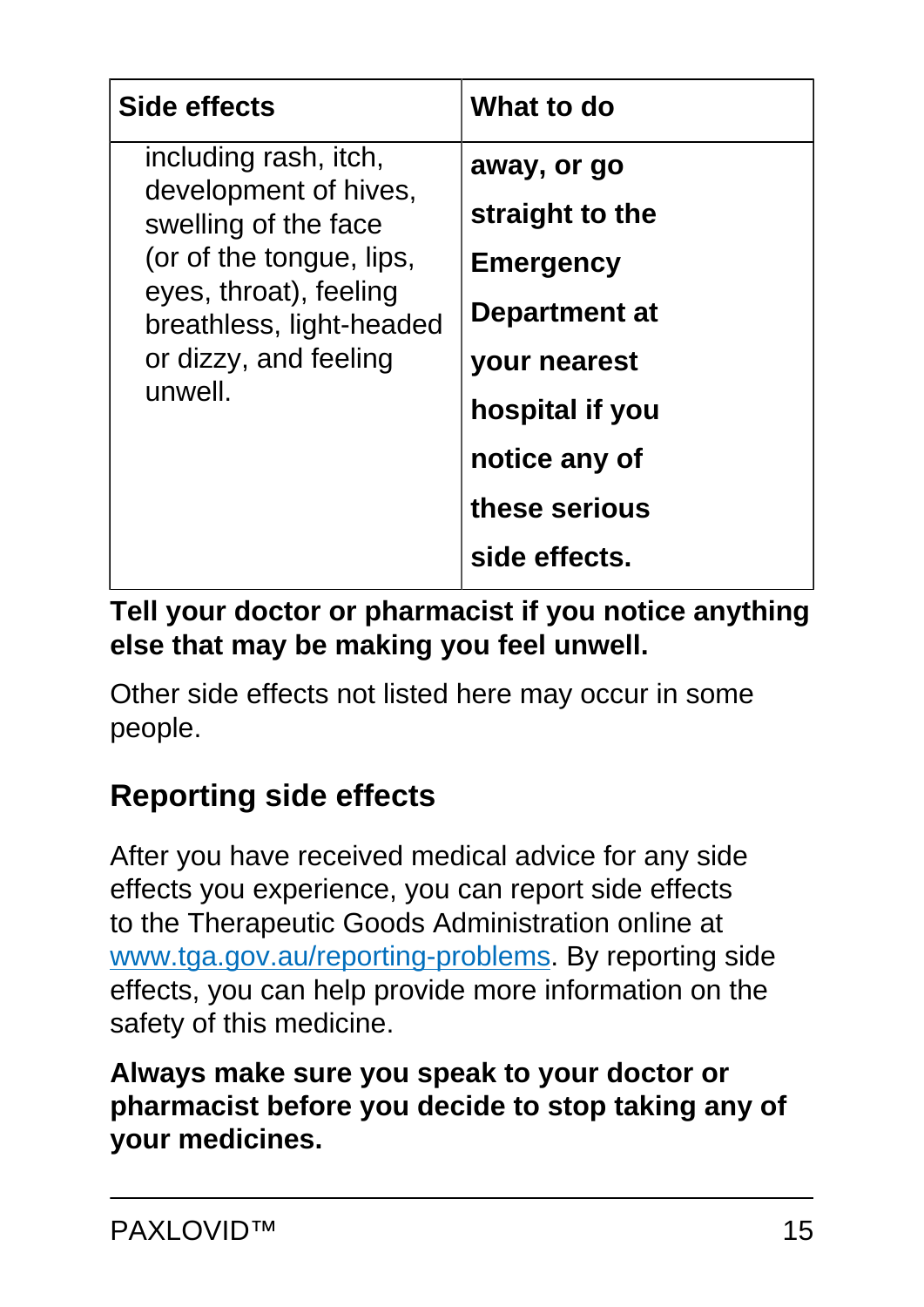| <b>Side effects</b>                                                                                                                                                                          | What to do                                                                                                              |
|----------------------------------------------------------------------------------------------------------------------------------------------------------------------------------------------|-------------------------------------------------------------------------------------------------------------------------|
| including rash, itch,<br>development of hives,<br>swelling of the face<br>(or of the tongue, lips,<br>eyes, throat), feeling<br>breathless, light-headed<br>or dizzy, and feeling<br>unwell. | away, or go<br>straight to the<br><b>Emergency</b><br>Department at<br>your nearest<br>hospital if you<br>notice any of |
|                                                                                                                                                                                              | these serious<br>side effects.                                                                                          |
|                                                                                                                                                                                              |                                                                                                                         |

#### **Tell your doctor or pharmacist if you notice anything else that may be making you feel unwell.**

Other side effects not listed here may occur in some people.

## **Reporting side effects**

After you have received medical advice for any side effects you experience, you can report side effects to the Therapeutic Goods Administration online at [www.tga.gov.au/reporting-problems.](http://www.tga.gov.au/reporting-problems) By reporting side effects, you can help provide more information on the safety of this medicine.

#### <span id="page-14-0"></span>**Always make sure you speak to your doctor or pharmacist before you decide to stop taking any of your medicines.**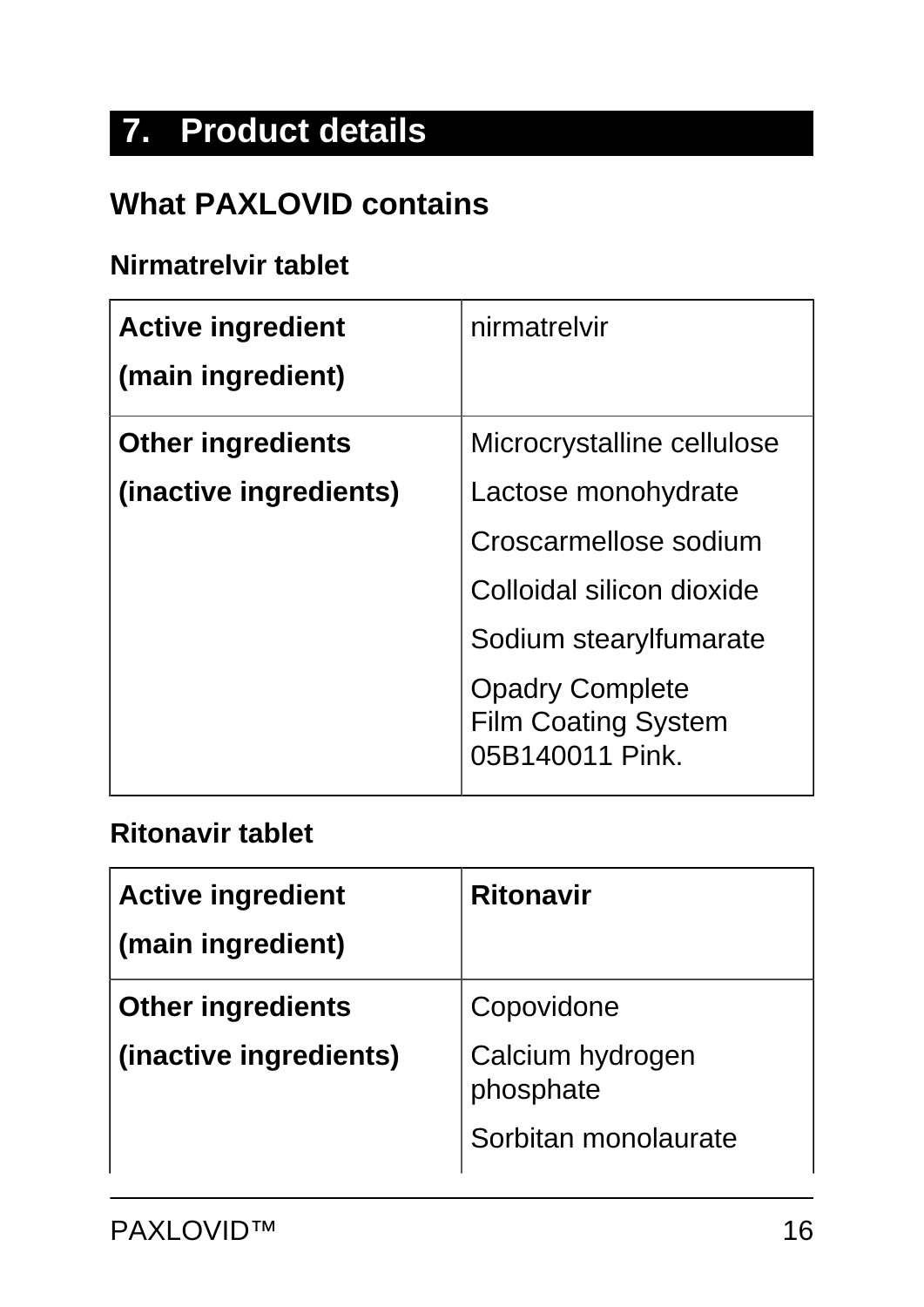# **7. Product details**

### **What PAXLOVID contains**

#### **Nirmatrelvir tablet**

| <b>Active ingredient</b><br>(main ingredient) | nirmatrelvir                                                            |
|-----------------------------------------------|-------------------------------------------------------------------------|
| <b>Other ingredients</b>                      | Microcrystalline cellulose                                              |
| (inactive ingredients)                        | Lactose monohydrate                                                     |
|                                               | Croscarmellose sodium                                                   |
|                                               | Colloidal silicon dioxide                                               |
|                                               | Sodium stearylfumarate                                                  |
|                                               | <b>Opadry Complete</b><br><b>Film Coating System</b><br>05B140011 Pink. |

#### **Ritonavir tablet**

| <b>Active ingredient</b><br>(main ingredient) | <b>Ritonavir</b>              |
|-----------------------------------------------|-------------------------------|
| <b>Other ingredients</b>                      | Copovidone                    |
| (inactive ingredients)                        | Calcium hydrogen<br>phosphate |
|                                               | Sorbitan monolaurate          |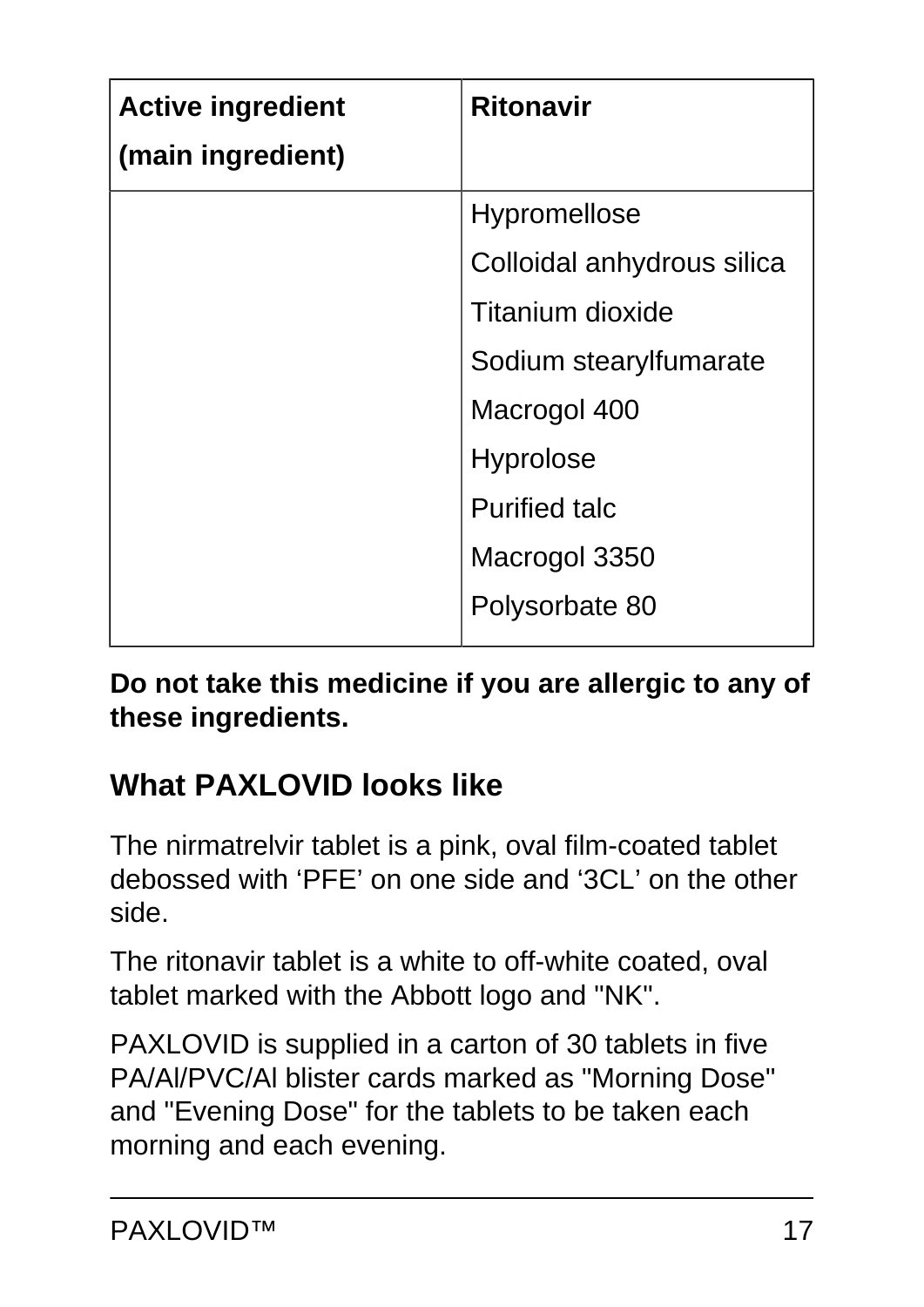| <b>Active ingredient</b><br>(main ingredient) | <b>Ritonavir</b>           |
|-----------------------------------------------|----------------------------|
|                                               | <b>Hypromellose</b>        |
|                                               | Colloidal anhydrous silica |
|                                               | <b>Titanium dioxide</b>    |
|                                               | Sodium stearylfumarate     |
|                                               | Macrogol 400               |
|                                               | <b>Hyprolose</b>           |
|                                               | <b>Purified talc</b>       |
|                                               | Macrogol 3350              |
|                                               | Polysorbate 80             |

**Do not take this medicine if you are allergic to any of these ingredients.**

## **What PAXLOVID looks like**

The nirmatrelvir tablet is a pink, oval film-coated tablet debossed with 'PFE' on one side and '3CL' on the other side.

The ritonavir tablet is a white to off-white coated, oval tablet marked with the Abbott logo and "NK".

PAXLOVID is supplied in a carton of 30 tablets in five PA/Al/PVC/Al blister cards marked as "Morning Dose" and "Evening Dose" for the tablets to be taken each morning and each evening.